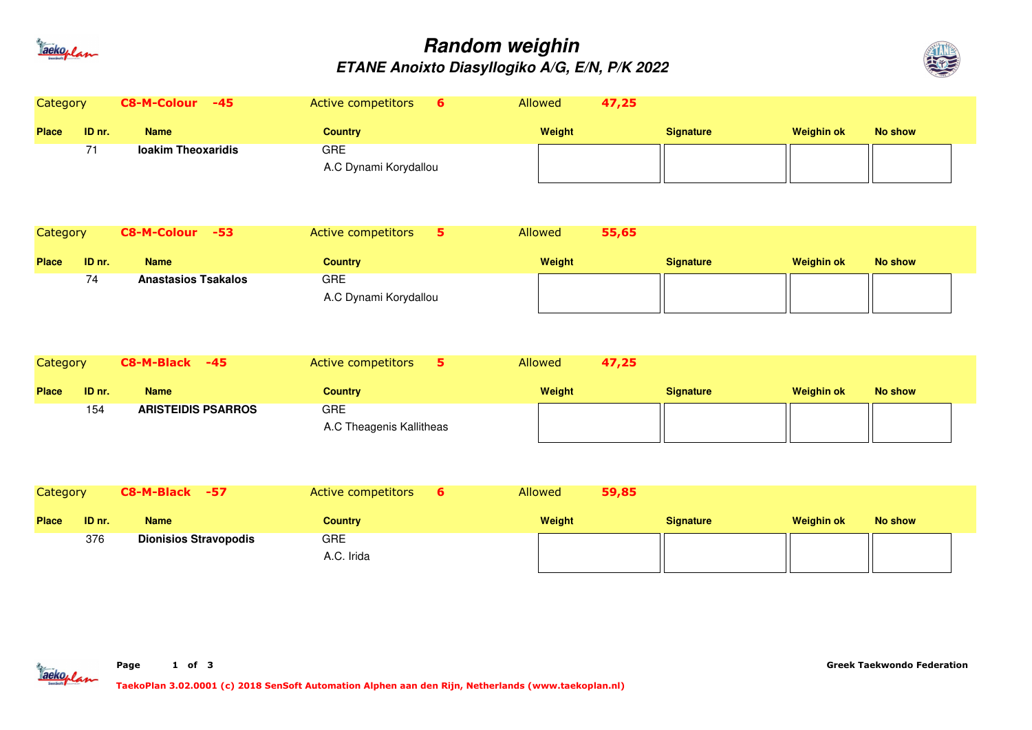

## **Random weighinETANE Anoixto Diasyllogiko A/G, E/N, P/K 2022**



| Category     |        | C8-M-Colour -45              | Active competitors<br>6                | Allowed<br>47,25 |                  |                   |                |  |
|--------------|--------|------------------------------|----------------------------------------|------------------|------------------|-------------------|----------------|--|
| <b>Place</b> | ID nr. | <b>Name</b>                  | <b>Country</b>                         | Weight           | <b>Signature</b> | <b>Weighin ok</b> | <b>No show</b> |  |
|              | 71     | <b>loakim Theoxaridis</b>    | <b>GRE</b><br>A.C Dynami Korydallou    |                  |                  |                   |                |  |
| Category     |        | C8-M-Colour -53              | Active competitors<br>5                | 55,65<br>Allowed |                  |                   |                |  |
| <b>Place</b> | ID nr. | <b>Name</b>                  | <b>Country</b>                         | Weight           | <b>Signature</b> | <b>Weighin ok</b> | <b>No show</b> |  |
|              | 74     | <b>Anastasios Tsakalos</b>   | <b>GRE</b><br>A.C Dynami Korydallou    |                  |                  |                   |                |  |
| Category     |        | <b>C8-M-Black</b><br>$-45$   | 5<br>Active competitors                | 47,25<br>Allowed |                  |                   |                |  |
| <b>Place</b> | ID nr. | <b>Name</b>                  | <b>Country</b>                         | Weight           | <b>Signature</b> | <b>Weighin ok</b> | <b>No show</b> |  |
|              | 154    | <b>ARISTEIDIS PSARROS</b>    | <b>GRE</b><br>A.C Theagenis Kallitheas |                  |                  |                   |                |  |
| Category     |        | C8-M-Black -57               | Active competitors<br>6                | 59,85<br>Allowed |                  |                   |                |  |
| <b>Place</b> | ID nr. | <b>Name</b>                  | <b>Country</b>                         | Weight           | <b>Signature</b> | <b>Weighin ok</b> | <b>No show</b> |  |
|              | 376    | <b>Dionisios Stravopodis</b> | <b>GRE</b><br>A.C. Irida               |                  |                  |                   |                |  |

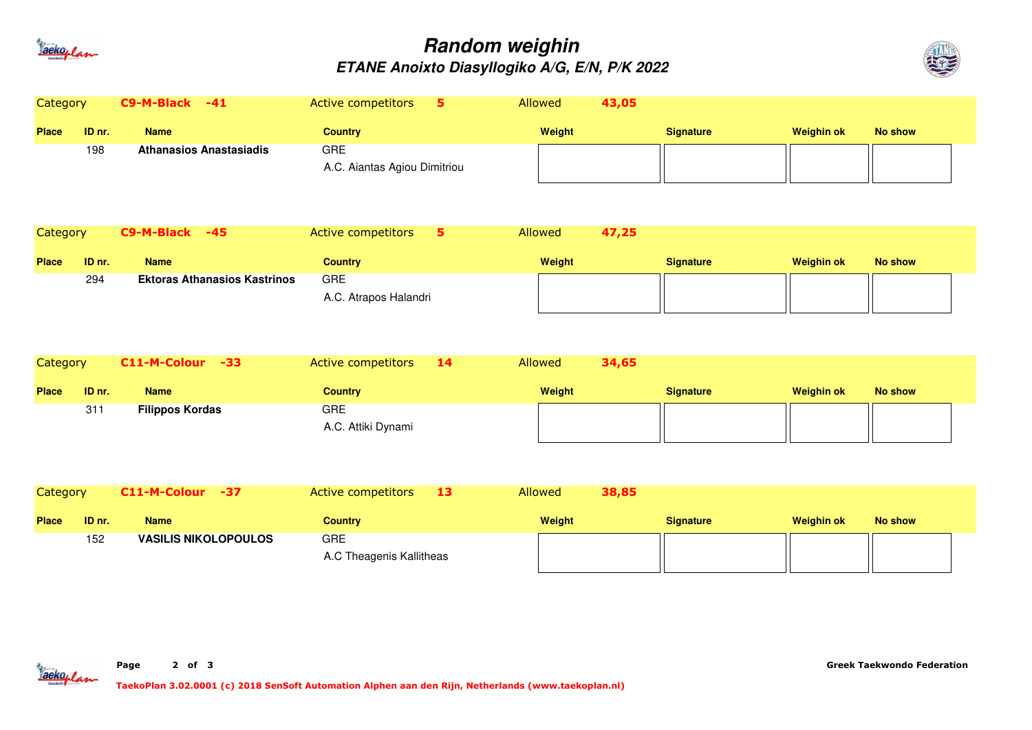

## **Random weighinETANE Anoixto Diasyllogiko A/G, E/N, P/K 2022**



| Category        |        | $C9-M-Black -41$                    | Active competitors<br>5.                   | Allowed | 43,05            |                   |                |  |
|-----------------|--------|-------------------------------------|--------------------------------------------|---------|------------------|-------------------|----------------|--|
| <b>Place</b>    | ID nr. | <b>Name</b>                         | <b>Country</b>                             | Weight  | <b>Signature</b> | <b>Weighin ok</b> | <b>No show</b> |  |
|                 | 198    | <b>Athanasios Anastasiadis</b>      | <b>GRE</b><br>A.C. Aiantas Agiou Dimitriou |         |                  |                   |                |  |
| Category        |        | <b>C9-M-Black</b><br>$-45$          | Active competitors<br>5                    | Allowed | 47,25            |                   |                |  |
| <b>Place</b>    | ID nr. | <b>Name</b>                         | <b>Country</b>                             | Weight  | <b>Signature</b> | <b>Weighin ok</b> | <b>No show</b> |  |
|                 | 294    | <b>Ektoras Athanasios Kastrinos</b> | <b>GRE</b><br>A.C. Atrapos Halandri        |         |                  |                   |                |  |
| <b>Category</b> |        | C11-M-Colour -33                    | Active competitors<br>14                   | Allowed | 34,65            |                   |                |  |
| <b>Place</b>    | ID nr. | <b>Name</b>                         | <b>Country</b>                             | Weight  | <b>Signature</b> | <b>Weighin ok</b> | <b>No show</b> |  |
|                 | 311    | <b>Filippos Kordas</b>              | <b>GRE</b><br>A.C. Attiki Dynami           |         |                  |                   |                |  |
| <b>Category</b> |        | C11-M-Colour -37                    | <b>Active competitors</b><br>13            | Allowed | 38,85            |                   |                |  |
| <b>Place</b>    | ID nr. | <b>Name</b>                         | <b>Country</b>                             | Weight  | <b>Signature</b> | <b>Weighin ok</b> | <b>No show</b> |  |
|                 | 152    | <b>VASILIS NIKOLOPOULOS</b>         | <b>GRE</b><br>A.C Theagenis Kallitheas     |         |                  |                   |                |  |